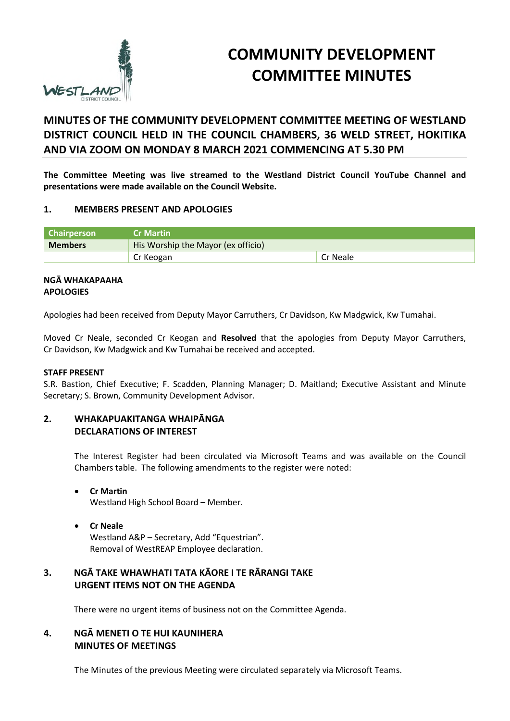

# **COMMUNITY DEVELOPMENT COMMITTEE MINUTES**

# **MINUTES OF THE COMMUNITY DEVELOPMENT COMMITTEE MEETING OF WESTLAND DISTRICT COUNCIL HELD IN THE COUNCIL CHAMBERS, 36 WELD STREET, HOKITIKA AND VIA ZOOM ON MONDAY 8 MARCH 2021 COMMENCING AT 5.30 PM**

**The Committee Meeting was live streamed to the Westland District Council YouTube Channel and presentations were made available on the Council Website.** 

# **1. MEMBERS PRESENT AND APOLOGIES**

| <b>Chairperson</b> | <b>Cr Martin</b>                   |          |
|--------------------|------------------------------------|----------|
| <b>Members</b>     | His Worship the Mayor (ex officio) |          |
|                    | Cr Keogan                          | Cr Neale |

#### **NGĀ WHAKAPAAHA APOLOGIES**

Apologies had been received from Deputy Mayor Carruthers, Cr Davidson, Kw Madgwick, Kw Tumahai.

Moved Cr Neale, seconded Cr Keogan and **Resolved** that the apologies from Deputy Mayor Carruthers, Cr Davidson, Kw Madgwick and Kw Tumahai be received and accepted.

# **STAFF PRESENT**

S.R. Bastion, Chief Executive; F. Scadden, Planning Manager; D. Maitland; Executive Assistant and Minute Secretary; S. Brown, Community Development Advisor.

# **2. WHAKAPUAKITANGA WHAIPĀNGA DECLARATIONS OF INTEREST**

The Interest Register had been circulated via Microsoft Teams and was available on the Council Chambers table. The following amendments to the register were noted:

- **Cr Martin**  Westland High School Board – Member.
- **Cr Neale**  Westland A&P – Secretary, Add "Equestrian". Removal of WestREAP Employee declaration.

# **3. NGĀ TAKE WHAWHATI TATA KĀORE I TE RĀRANGI TAKE URGENT ITEMS NOT ON THE AGENDA**

There were no urgent items of business not on the Committee Agenda.

# **4. NGĀ MENETI O TE HUI KAUNIHERA MINUTES OF MEETINGS**

The Minutes of the previous Meeting were circulated separately via Microsoft Teams.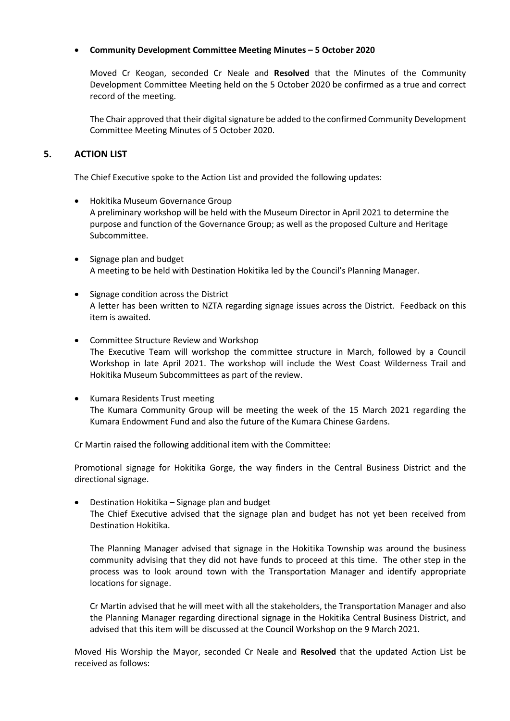# **Community Development Committee Meeting Minutes – 5 October 2020**

Moved Cr Keogan, seconded Cr Neale and **Resolved** that the Minutes of the Community Development Committee Meeting held on the 5 October 2020 be confirmed as a true and correct record of the meeting.

The Chair approved that their digital signature be added to the confirmed Community Development Committee Meeting Minutes of 5 October 2020.

# **5. ACTION LIST**

The Chief Executive spoke to the Action List and provided the following updates:

- Hokitika Museum Governance Group A preliminary workshop will be held with the Museum Director in April 2021 to determine the purpose and function of the Governance Group; as well as the proposed Culture and Heritage Subcommittee.
- Signage plan and budget A meeting to be held with Destination Hokitika led by the Council's Planning Manager.
- Signage condition across the District A letter has been written to NZTA regarding signage issues across the District. Feedback on this item is awaited.
- Committee Structure Review and Workshop The Executive Team will workshop the committee structure in March, followed by a Council Workshop in late April 2021. The workshop will include the West Coast Wilderness Trail and Hokitika Museum Subcommittees as part of the review.
- Kumara Residents Trust meeting The Kumara Community Group will be meeting the week of the 15 March 2021 regarding the Kumara Endowment Fund and also the future of the Kumara Chinese Gardens.

Cr Martin raised the following additional item with the Committee:

Promotional signage for Hokitika Gorge, the way finders in the Central Business District and the directional signage.

 Destination Hokitika – Signage plan and budget The Chief Executive advised that the signage plan and budget has not yet been received from Destination Hokitika.

The Planning Manager advised that signage in the Hokitika Township was around the business community advising that they did not have funds to proceed at this time. The other step in the process was to look around town with the Transportation Manager and identify appropriate locations for signage.

Cr Martin advised that he will meet with all the stakeholders, the Transportation Manager and also the Planning Manager regarding directional signage in the Hokitika Central Business District, and advised that this item will be discussed at the Council Workshop on the 9 March 2021.

Moved His Worship the Mayor, seconded Cr Neale and **Resolved** that the updated Action List be received as follows: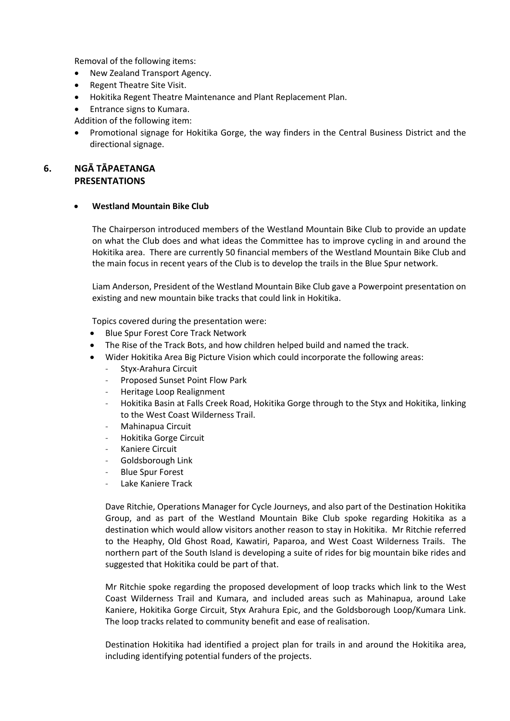Removal of the following items:

- New Zealand Transport Agency.
- Regent Theatre Site Visit.
- Hokitika Regent Theatre Maintenance and Plant Replacement Plan.
- Entrance signs to Kumara.

Addition of the following item:

 Promotional signage for Hokitika Gorge, the way finders in the Central Business District and the directional signage.

# **6. NGĀ TĀPAETANGA PRESENTATIONS**

#### **Westland Mountain Bike Club**

The Chairperson introduced members of the Westland Mountain Bike Club to provide an update on what the Club does and what ideas the Committee has to improve cycling in and around the Hokitika area. There are currently 50 financial members of the Westland Mountain Bike Club and the main focus in recent years of the Club is to develop the trails in the Blue Spur network.

Liam Anderson, President of the Westland Mountain Bike Club gave a Powerpoint presentation on existing and new mountain bike tracks that could link in Hokitika.

Topics covered during the presentation were:

- Blue Spur Forest Core Track Network
- The Rise of the Track Bots, and how children helped build and named the track.
- Wider Hokitika Area Big Picture Vision which could incorporate the following areas:
	- Styx-Arahura Circuit
	- Proposed Sunset Point Flow Park
	- Heritage Loop Realignment
	- Hokitika Basin at Falls Creek Road, Hokitika Gorge through to the Styx and Hokitika, linking to the West Coast Wilderness Trail.
	- Mahinapua Circuit
	- Hokitika Gorge Circuit
	- Kaniere Circuit
	- Goldsborough Link
	- Blue Spur Forest
	- Lake Kaniere Track

Dave Ritchie, Operations Manager for Cycle Journeys, and also part of the Destination Hokitika Group, and as part of the Westland Mountain Bike Club spoke regarding Hokitika as a destination which would allow visitors another reason to stay in Hokitika. Mr Ritchie referred to the Heaphy, Old Ghost Road, Kawatiri, Paparoa, and West Coast Wilderness Trails. The northern part of the South Island is developing a suite of rides for big mountain bike rides and suggested that Hokitika could be part of that.

Mr Ritchie spoke regarding the proposed development of loop tracks which link to the West Coast Wilderness Trail and Kumara, and included areas such as Mahinapua, around Lake Kaniere, Hokitika Gorge Circuit, Styx Arahura Epic, and the Goldsborough Loop/Kumara Link. The loop tracks related to community benefit and ease of realisation.

Destination Hokitika had identified a project plan for trails in and around the Hokitika area, including identifying potential funders of the projects.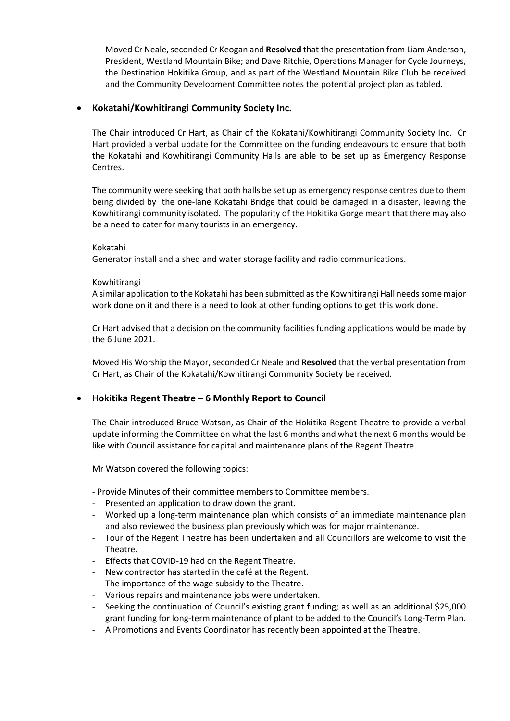Moved Cr Neale, seconded Cr Keogan and **Resolved** that the presentation from Liam Anderson, President, Westland Mountain Bike; and Dave Ritchie, Operations Manager for Cycle Journeys, the Destination Hokitika Group, and as part of the Westland Mountain Bike Club be received and the Community Development Committee notes the potential project plan as tabled.

# **Kokatahi/Kowhitirangi Community Society Inc.**

The Chair introduced Cr Hart, as Chair of the Kokatahi/Kowhitirangi Community Society Inc. Cr Hart provided a verbal update for the Committee on the funding endeavours to ensure that both the Kokatahi and Kowhitirangi Community Halls are able to be set up as Emergency Response Centres.

The community were seeking that both halls be set up as emergency response centres due to them being divided by the one-lane Kokatahi Bridge that could be damaged in a disaster, leaving the Kowhitirangi community isolated. The popularity of the Hokitika Gorge meant that there may also be a need to cater for many tourists in an emergency.

#### Kokatahi

Generator install and a shed and water storage facility and radio communications.

#### Kowhitirangi

A similar application to the Kokatahi has been submitted as the Kowhitirangi Hall needs some major work done on it and there is a need to look at other funding options to get this work done.

Cr Hart advised that a decision on the community facilities funding applications would be made by the 6 June 2021.

Moved His Worship the Mayor, seconded Cr Neale and **Resolved** that the verbal presentation from Cr Hart, as Chair of the Kokatahi/Kowhitirangi Community Society be received.

#### **Hokitika Regent Theatre – 6 Monthly Report to Council**

The Chair introduced Bruce Watson, as Chair of the Hokitika Regent Theatre to provide a verbal update informing the Committee on what the last 6 months and what the next 6 months would be like with Council assistance for capital and maintenance plans of the Regent Theatre.

Mr Watson covered the following topics:

- Provide Minutes of their committee members to Committee members.

- Presented an application to draw down the grant.
- Worked up a long-term maintenance plan which consists of an immediate maintenance plan and also reviewed the business plan previously which was for major maintenance.
- Tour of the Regent Theatre has been undertaken and all Councillors are welcome to visit the Theatre.
- Effects that COVID-19 had on the Regent Theatre.
- New contractor has started in the café at the Regent.
- The importance of the wage subsidy to the Theatre.
- Various repairs and maintenance jobs were undertaken.
- Seeking the continuation of Council's existing grant funding; as well as an additional \$25,000 grant funding for long-term maintenance of plant to be added to the Council's Long-Term Plan.
- A Promotions and Events Coordinator has recently been appointed at the Theatre.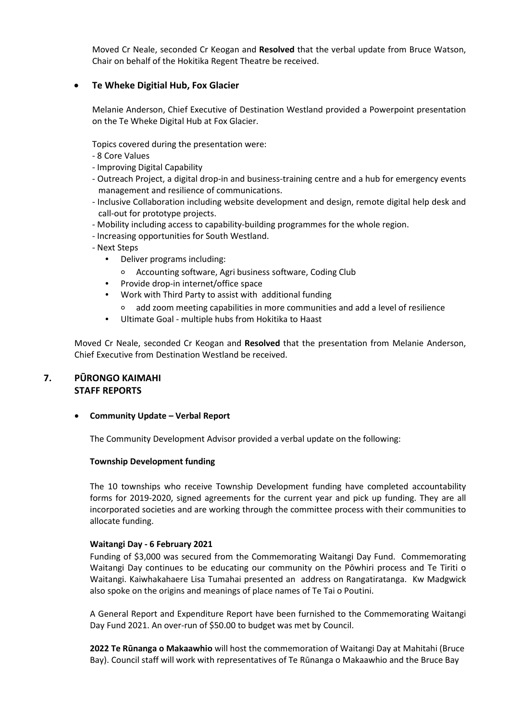Moved Cr Neale, seconded Cr Keogan and **Resolved** that the verbal update from Bruce Watson, Chair on behalf of the Hokitika Regent Theatre be received.

# **Te Wheke Digitial Hub, Fox Glacier**

Melanie Anderson, Chief Executive of Destination Westland provided a Powerpoint presentation on the Te Wheke Digital Hub at Fox Glacier.

Topics covered during the presentation were:

- 8 Core Values
- Improving Digital Capability
- Outreach Project, a digital drop-in and business-training centre and a hub for emergency events management and resilience of communications.
- Inclusive Collaboration including website development and design, remote digital help desk and call-out for prototype projects.
- Mobility including access to capability-building programmes for the whole region.
- Increasing opportunities for South Westland.
- Next Steps
	- Deliver programs including:
		- ⚬ Accounting software, Agri business software, Coding Club
	- Provide drop-in internet/office space
	- Work with Third Party to assist with additional funding
		- ⚬ add zoom meeting capabilities in more communities and add a level of resilience
	- Ultimate Goal multiple hubs from Hokitika to Haast

Moved Cr Neale, seconded Cr Keogan and **Resolved** that the presentation from Melanie Anderson, Chief Executive from Destination Westland be received.

# **7. PŪRONGO KAIMAHI STAFF REPORTS**

#### **Community Update – Verbal Report**

The Community Development Advisor provided a verbal update on the following:

#### **Township Development funding**

The 10 townships who receive Township Development funding have completed accountability forms for 2019-2020, signed agreements for the current year and pick up funding. They are all incorporated societies and are working through the committee process with their communities to allocate funding.

#### **Waitangi Day - 6 February 2021**

Funding of \$3,000 was secured from the Commemorating Waitangi Day Fund. Commemorating Waitangi Day continues to be educating our community on the Pōwhiri process and Te Tiriti o Waitangi. Kaiwhakahaere Lisa Tumahai presented an address on Rangatiratanga. Kw Madgwick also spoke on the origins and meanings of place names of Te Tai o Poutini.

A General Report and Expenditure Report have been furnished to the Commemorating Waitangi Day Fund 2021. An over-run of \$50.00 to budget was met by Council.

**2022 Te Rūnanga o Makaawhio** will host the commemoration of Waitangi Day at Mahitahi (Bruce Bay). Council staff will work with representatives of Te Rūnanga o Makaawhio and the Bruce Bay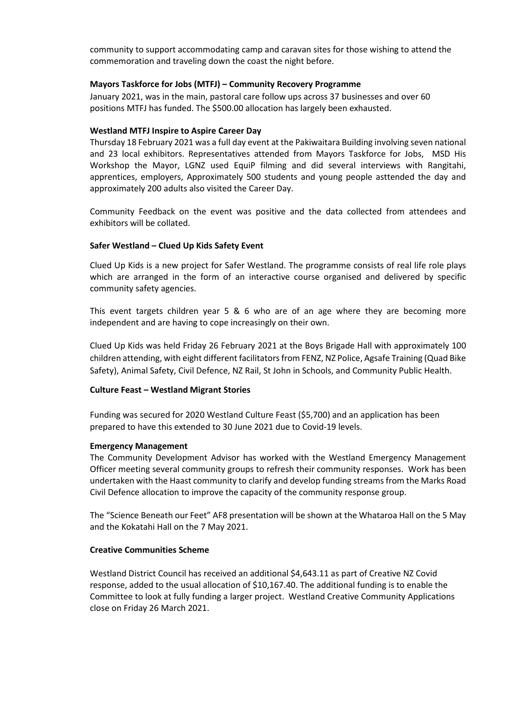community to support accommodating camp and caravan sites for those wishing to attend the commemoration and traveling down the coast the night before.

#### **Mayors Taskforce for Jobs (MTFJ) – Community Recovery Programme**

January 2021, was in the main, pastoral care follow ups across 37 businesses and over 60 positions MTFJ has funded. The \$500.00 allocation has largely been exhausted.

#### **Westland MTFJ Inspire to Aspire Career Day**

Thursday 18 February 2021 was a full day event at the Pakiwaitara Building involving seven national and 23 local exhibitors. Representatives attended from Mayors Taskforce for Jobs, MSD His Workshop the Mayor, LGNZ used EquiP filming and did several interviews with Rangitahi, apprentices, employers, Approximately 500 students and young people asttended the day and approximately 200 adults also visited the Career Day.

Community Feedback on the event was positive and the data collected from attendees and exhibitors will be collated.

# **Safer Westland – Clued Up Kids Safety Event**

Clued Up Kids is a new project for Safer Westland. The programme consists of real life role plays which are arranged in the form of an interactive course organised and delivered by specific community safety agencies.

This event targets children year 5 & 6 who are of an age where they are becoming more independent and are having to cope increasingly on their own.

Clued Up Kids was held Friday 26 February 2021 at the Boys Brigade Hall with approximately 100 children attending, with eight different facilitators from FENZ, NZ Police, Agsafe Training (Quad Bike Safety), Animal Safety, Civil Defence, NZ Rail, St John in Schools, and Community Public Health.

#### **Culture Feast – Westland Migrant Stories**

Funding was secured for 2020 Westland Culture Feast (\$5,700) and an application has been prepared to have this extended to 30 June 2021 due to Covid-19 levels.

#### **Emergency Management**

The Community Development Advisor has worked with the Westland Emergency Management Officer meeting several community groups to refresh their community responses. Work has been undertaken with the Haast community to clarify and develop funding streams from the Marks Road Civil Defence allocation to improve the capacity of the community response group.

The "Science Beneath our Feet" AF8 presentation will be shown at the Whataroa Hall on the 5 May and the Kokatahi Hall on the 7 May 2021.

#### **Creative Communities Scheme**

Westland District Council has received an additional \$4,643.11 as part of Creative NZ Covid response, added to the usual allocation of \$10,167.40. The additional funding is to enable the Committee to look at fully funding a larger project. Westland Creative Community Applications close on Friday 26 March 2021.